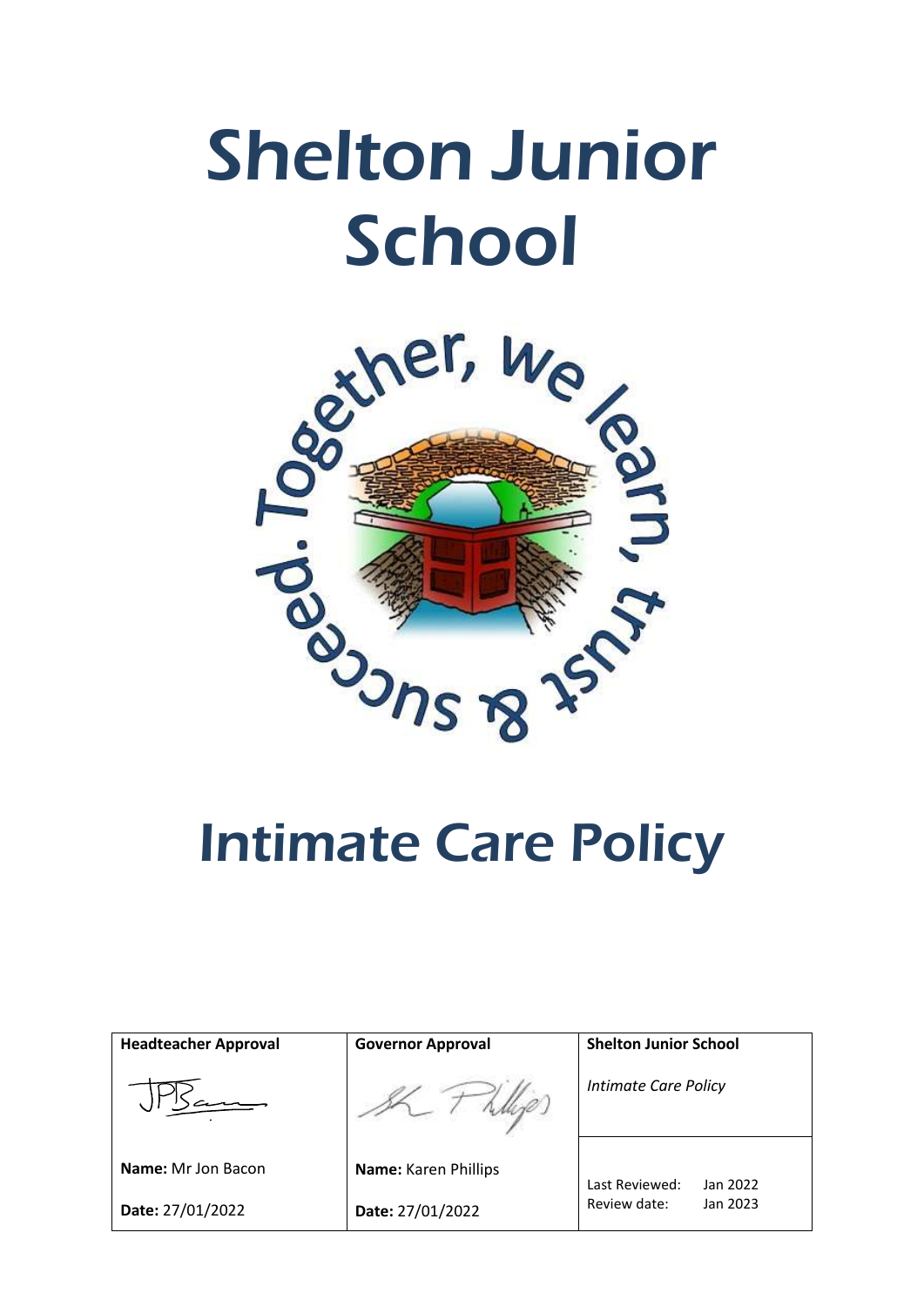# Shelton Junior School



| <b>Headteacher Approval</b> | <b>Governor Approval</b> | <b>Shelton Junior School</b> |
|-----------------------------|--------------------------|------------------------------|
|                             |                          | <b>Intimate Care Policy</b>  |
| <b>Name:</b> Mr Jon Bacon   | Name: Karen Phillips     | Last Reviewed:<br>Jan 2022   |
| Date: 27/01/2022            | Date: 27/01/2022         | Review date:<br>Jan 2023     |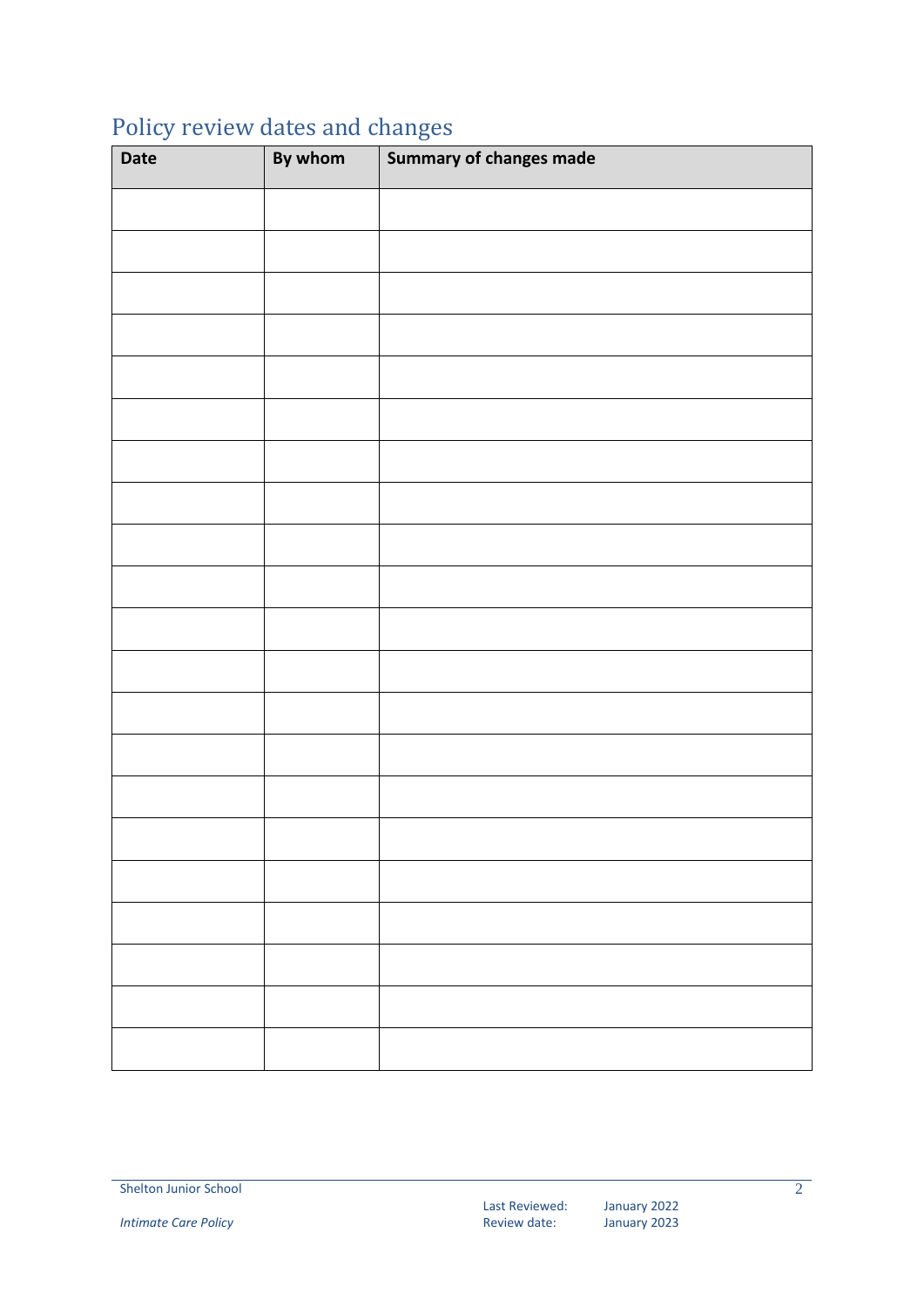| <b>Date</b> | By whom | Summary of changes made |
|-------------|---------|-------------------------|
|             |         |                         |
|             |         |                         |
|             |         |                         |
|             |         |                         |
|             |         |                         |
|             |         |                         |
|             |         |                         |
|             |         |                         |
|             |         |                         |
|             |         |                         |
|             |         |                         |
|             |         |                         |
|             |         |                         |
|             |         |                         |
|             |         |                         |
|             |         |                         |
|             |         |                         |
|             |         |                         |
|             |         |                         |
|             |         |                         |
|             |         |                         |

# <span id="page-1-0"></span>Policy review dates and changes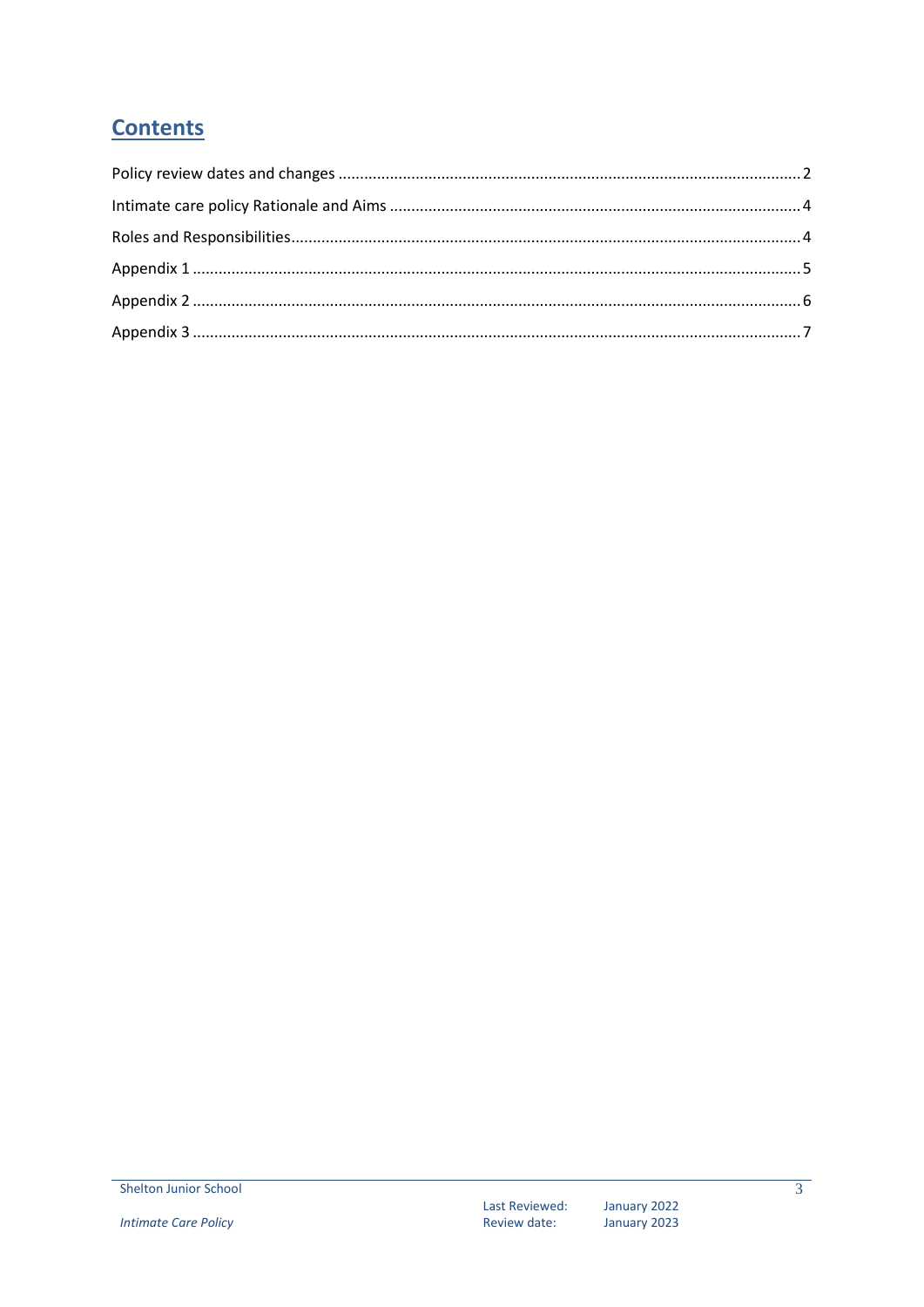#### **Contents**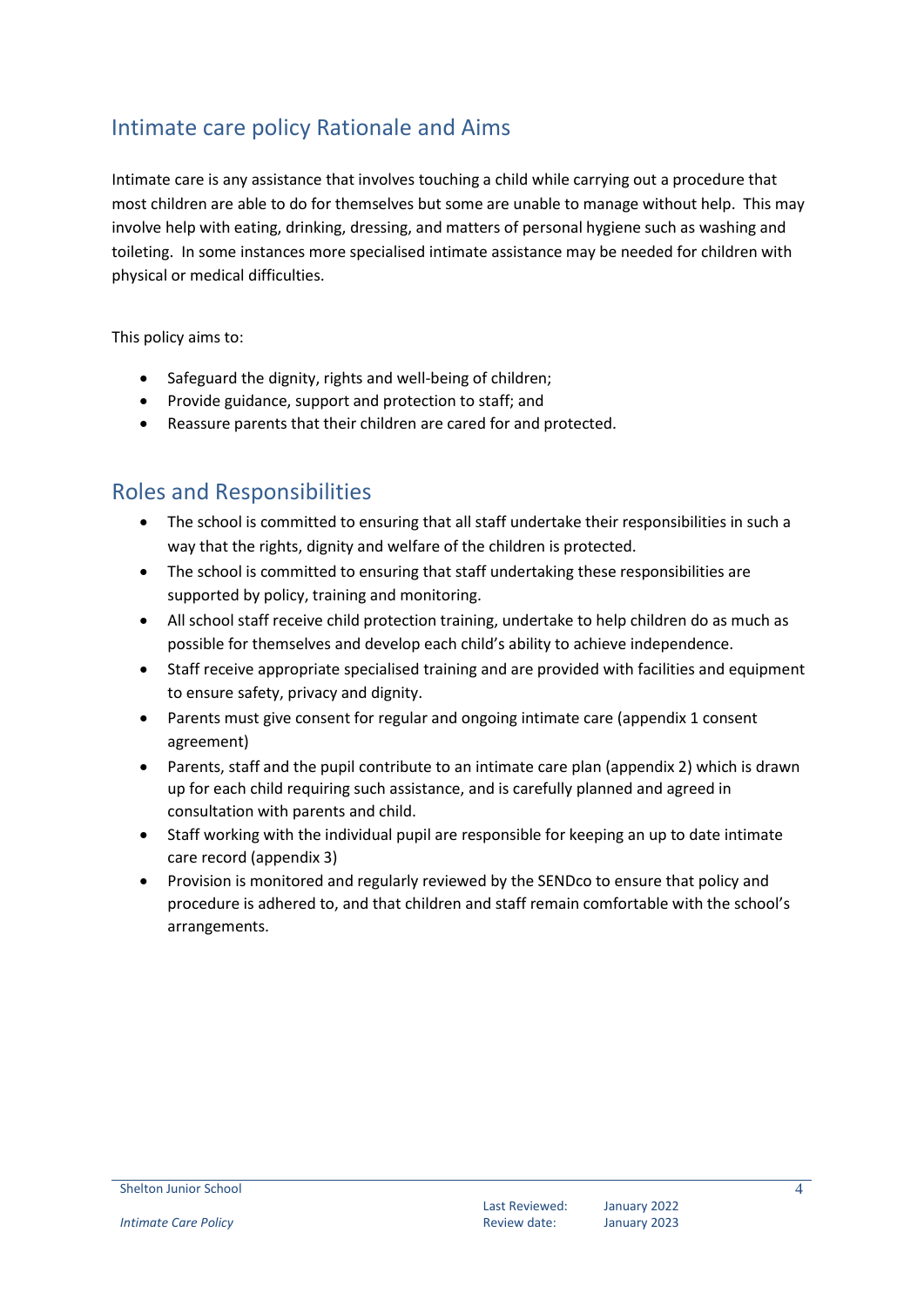#### <span id="page-3-0"></span>Intimate care policy Rationale and Aims

Intimate care is any assistance that involves touching a child while carrying out a procedure that most children are able to do for themselves but some are unable to manage without help. This may involve help with eating, drinking, dressing, and matters of personal hygiene such as washing and toileting. In some instances more specialised intimate assistance may be needed for children with physical or medical difficulties.

This policy aims to:

- Safeguard the dignity, rights and well-being of children;
- Provide guidance, support and protection to staff; and
- Reassure parents that their children are cared for and protected.

#### <span id="page-3-1"></span>Roles and Responsibilities

- The school is committed to ensuring that all staff undertake their responsibilities in such a way that the rights, dignity and welfare of the children is protected.
- The school is committed to ensuring that staff undertaking these responsibilities are supported by policy, training and monitoring.
- All school staff receive child protection training, undertake to help children do as much as possible for themselves and develop each child's ability to achieve independence.
- Staff receive appropriate specialised training and are provided with facilities and equipment to ensure safety, privacy and dignity.
- Parents must give consent for regular and ongoing intimate care (appendix 1 consent agreement)
- Parents, staff and the pupil contribute to an intimate care plan (appendix 2) which is drawn up for each child requiring such assistance, and is carefully planned and agreed in consultation with parents and child.
- Staff working with the individual pupil are responsible for keeping an up to date intimate care record (appendix 3)
- Provision is monitored and regularly reviewed by the SENDco to ensure that policy and procedure is adhered to, and that children and staff remain comfortable with the school's arrangements.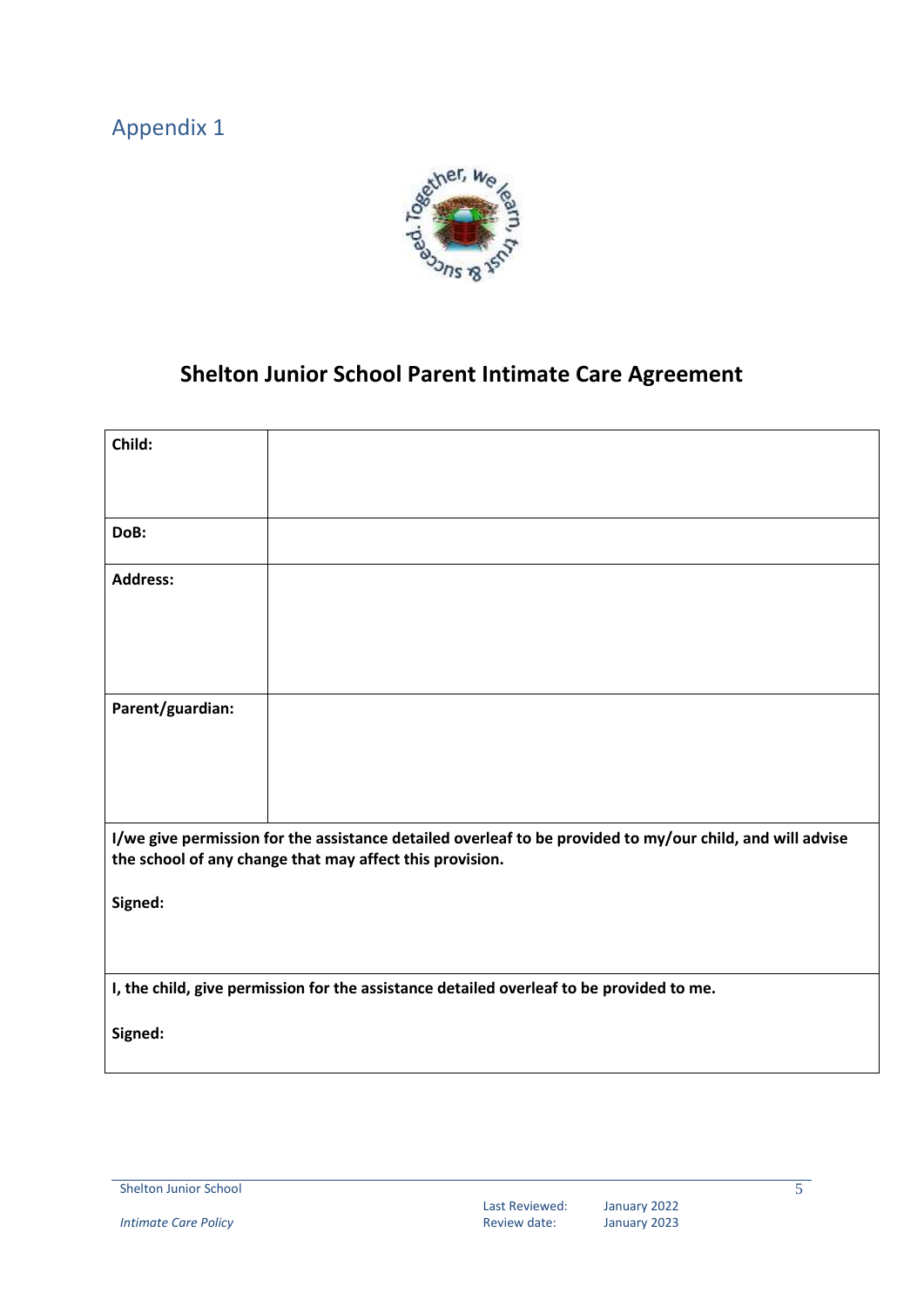### <span id="page-4-0"></span>Appendix 1



# **Shelton Junior School Parent Intimate Care Agreement**

| Child:           |                                                                                                           |
|------------------|-----------------------------------------------------------------------------------------------------------|
|                  |                                                                                                           |
|                  |                                                                                                           |
| DoB:             |                                                                                                           |
| <b>Address:</b>  |                                                                                                           |
|                  |                                                                                                           |
|                  |                                                                                                           |
|                  |                                                                                                           |
| Parent/guardian: |                                                                                                           |
|                  |                                                                                                           |
|                  |                                                                                                           |
|                  |                                                                                                           |
|                  | I/we give permission for the assistance detailed overleaf to be provided to my/our child, and will advise |
|                  | the school of any change that may affect this provision.                                                  |
| Signed:          |                                                                                                           |
|                  |                                                                                                           |
|                  |                                                                                                           |
|                  | I, the child, give permission for the assistance detailed overleaf to be provided to me.                  |
| Signed:          |                                                                                                           |
|                  |                                                                                                           |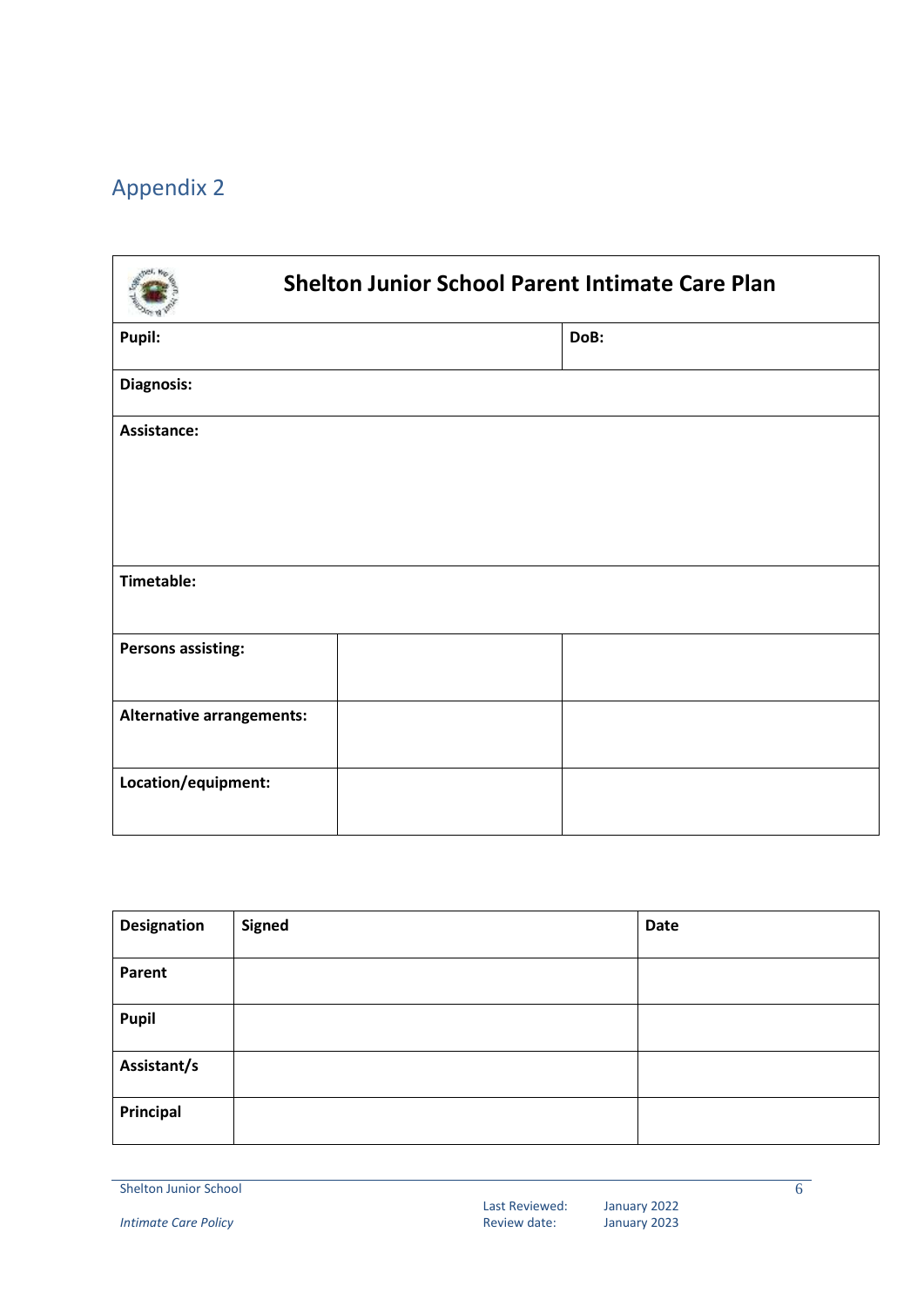# <span id="page-5-0"></span>Appendix 2

| <b>Shelton Junior School Parent Intimate Care Plan</b> |  |      |  |
|--------------------------------------------------------|--|------|--|
| Pupil:                                                 |  | DoB: |  |
| Diagnosis:                                             |  |      |  |
| Assistance:                                            |  |      |  |
| Timetable:                                             |  |      |  |
| <b>Persons assisting:</b>                              |  |      |  |
| <b>Alternative arrangements:</b>                       |  |      |  |
| Location/equipment:                                    |  |      |  |

| <b>Designation</b> | <b>Signed</b> | <b>Date</b> |
|--------------------|---------------|-------------|
| Parent             |               |             |
| Pupil              |               |             |
| Assistant/s        |               |             |
| Principal          |               |             |